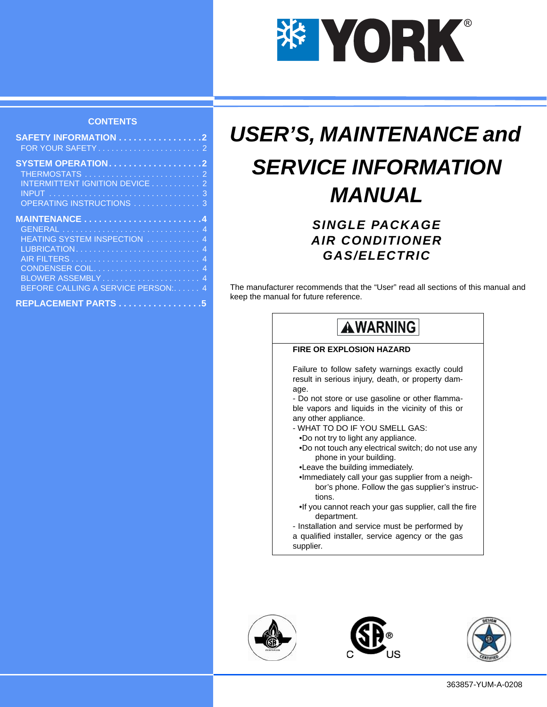

#### **CONTENTS**

| <b>SAFETY INFORMATION 2</b>        |  |
|------------------------------------|--|
|                                    |  |
|                                    |  |
| <b>SYSTEM OPERATION2</b>           |  |
|                                    |  |
| INTERMITTENT IGNITION DEVICE 2     |  |
|                                    |  |
| OPERATING INSTRUCTIONS  3          |  |
|                                    |  |
|                                    |  |
|                                    |  |
|                                    |  |
| HEATING SYSTEM INSPECTION  4       |  |
|                                    |  |
|                                    |  |
| CONDENSER COIL 4                   |  |
| BLOWER ASSEMBLY 4                  |  |
| BEFORE CALLING A SERVICE PERSON: 4 |  |
| REPLACEMENT PARTS 5                |  |

# *USER'S, MAINTENANCE and SERVICE INFORMATION MANUAL*

# *SINGLE PACKAGE AIR CONDITIONER GAS/ELECTRIC*

The manufacturer recommends that the "User" read all sections of this manual and keep the manual for future reference.

# **AWARNING**

#### **FIRE OR EXPLOSION HAZARD**

Failure to follow safety warnings exactly could result in serious injury, death, or property damage.

- Do not store or use gasoline or other flammable vapors and liquids in the vicinity of this or any other appliance.

- WHAT TO DO IF YOU SMELL GAS:
- •Do not try to light any appliance.
- •Do not touch any electrical switch; do not use any phone in your building.
- •Leave the building immediately.
- •Immediately call your gas supplier from a neighbor's phone. Follow the gas supplier's instructions.
- •If you cannot reach your gas supplier, call the fire department.
- Installation and service must be performed by
- a qualified installer, service agency or the gas supplier.





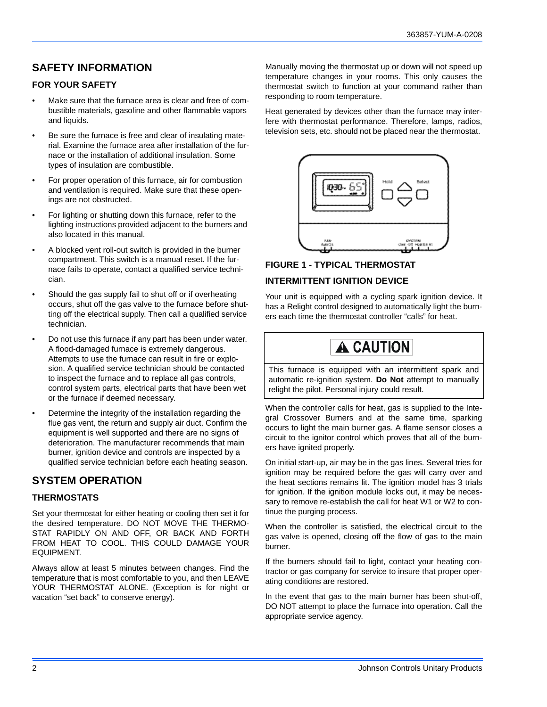# **SAFETY INFORMATION**

#### **FOR YOUR SAFETY**

- Make sure that the furnace area is clear and free of combustible materials, gasoline and other flammable vapors and liquids.
- Be sure the furnace is free and clear of insulating material. Examine the furnace area after installation of the furnace or the installation of additional insulation. Some types of insulation are combustible.
- For proper operation of this furnace, air for combustion and ventilation is required. Make sure that these openings are not obstructed.
- For lighting or shutting down this furnace, refer to the lighting instructions provided adjacent to the burners and also located in this manual.
- A blocked vent roll-out switch is provided in the burner compartment. This switch is a manual reset. If the furnace fails to operate, contact a qualified service technician.
- Should the gas supply fail to shut off or if overheating occurs, shut off the gas valve to the furnace before shutting off the electrical supply. Then call a qualified service technician.
- Do not use this furnace if any part has been under water. A flood-damaged furnace is extremely dangerous. Attempts to use the furnace can result in fire or explosion. A qualified service technician should be contacted to inspect the furnace and to replace all gas controls, control system parts, electrical parts that have been wet or the furnace if deemed necessary.
- Determine the integrity of the installation regarding the flue gas vent, the return and supply air duct. Confirm the equipment is well supported and there are no signs of deterioration. The manufacturer recommends that main burner, ignition device and controls are inspected by a qualified service technician before each heating season.

### **SYSTEM OPERATION**

#### **THERMOSTATS**

Set your thermostat for either heating or cooling then set it for the desired temperature. DO NOT MOVE THE THERMO-STAT RAPIDLY ON AND OFF, OR BACK AND FORTH FROM HEAT TO COOL. THIS COULD DAMAGE YOUR EQUIPMENT.

Always allow at least 5 minutes between changes. Find the temperature that is most comfortable to you, and then LEAVE YOUR THERMOSTAT ALONE. (Exception is for night or vacation "set back" to conserve energy).

Manually moving the thermostat up or down will not speed up temperature changes in your rooms. This only causes the thermostat switch to function at your command rather than responding to room temperature.

Heat generated by devices other than the furnace may interfere with thermostat performance. Therefore, lamps, radios, television sets, etc. should not be placed near the thermostat.



### **FIGURE 1 - TYPICAL THERMOSTAT**

#### **INTERMITTENT IGNITION DEVICE**

Your unit is equipped with a cycling spark ignition device. It has a Relight control designed to automatically light the burners each time the thermostat controller "calls" for heat.

# **A CAUTION**

This furnace is equipped with an intermittent spark and automatic re-ignition system. **Do Not** attempt to manually relight the pilot. Personal injury could result.

When the controller calls for heat, gas is supplied to the Integral Crossover Burners and at the same time, sparking occurs to light the main burner gas. A flame sensor closes a circuit to the ignitor control which proves that all of the burners have ignited properly.

On initial start-up, air may be in the gas lines. Several tries for ignition may be required before the gas will carry over and the heat sections remains lit. The ignition model has 3 trials for ignition. If the ignition module locks out, it may be necessary to remove re-establish the call for heat W1 or W2 to continue the purging process.

When the controller is satisfied, the electrical circuit to the gas valve is opened, closing off the flow of gas to the main burner.

If the burners should fail to light, contact your heating contractor or gas company for service to insure that proper operating conditions are restored.

In the event that gas to the main burner has been shut-off, DO NOT attempt to place the furnace into operation. Call the appropriate service agency.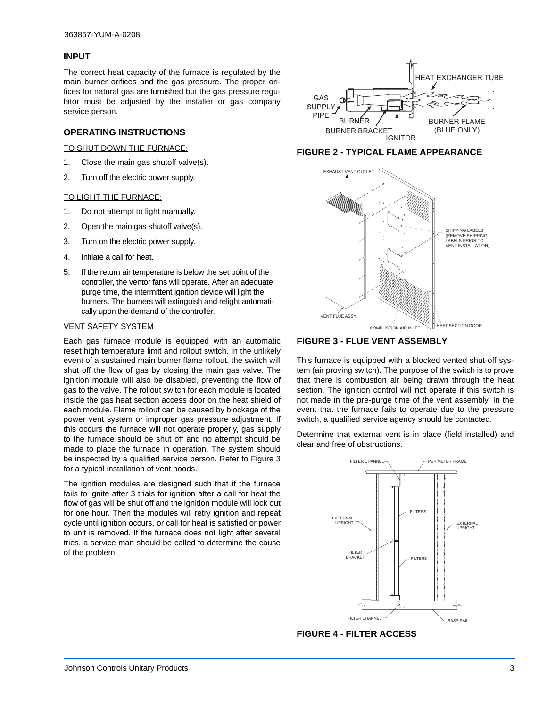#### **INPUT**

The correct heat capacity of the furnace is regulated by the main burner orifices and the gas pressure. The proper orifices for natural gas are furnished but the gas pressure regulator must be adjusted by the installer or gas company service person.

#### **OPERATING INSTRUCTIONS**

TO SHUT DOWN THE FURNACE:

- 1. Close the main gas shutoff valve(s).
- 2. Turn off the electric power supply.

#### TO LIGHT THE FURNACE:

- 1. Do not attempt to light manually.
- 2. Open the main gas shutoff valve(s).
- 3. Turn on the electric power supply.
- 4. Initiate a call for heat.
- 5. If the return air temperature is below the set point of the controller, the ventor fans will operate. After an adequate purge time, the intermittent ignition device will light the burners. The burners will extinguish and relight automatically upon the demand of the controller.

#### VENT SAFETY SYSTEM

Each gas furnace module is equipped with an automatic reset high temperature limit and rollout switch. In the unlikely event of a sustained main burner flame rollout, the switch will shut off the flow of gas by closing the main gas valve. The ignition module will also be disabled, preventing the flow of gas to the valve. The rollout switch for each module is located inside the gas heat section access door on the heat shield of each module. Flame rollout can be caused by blockage of the power vent system or improper gas pressure adjustment. If this occurs the furnace will not operate properly, gas supply to the furnace should be shut off and no attempt should be made to place the furnace in operation. The system should be inspected by a qualified service person. Refer to Figure 3 for a typical installation of vent hoods.

The ignition modules are designed such that if the furnace fails to ignite after 3 trials for ignition after a call for heat the flow of gas will be shut off and the ignition module will lock out for one hour. Then the modules will retry ignition and repeat cycle until ignition occurs, or call for heat is satisfied or power to unit is removed. If the furnace does not light after several tries, a service man should be called to determine the cause of the problem.



#### **FIGURE 2 - TYPICAL FLAME APPEARANCE**



**FIGURE 3 - FLUE VENT ASSEMBLY**

This furnace is equipped with a blocked vented shut-off system (air proving switch). The purpose of the switch is to prove that there is combustion air being drawn through the heat section. The ignition control will not operate if this switch is not made in the pre-purge time of the vent assembly. In the event that the furnace fails to operate due to the pressure switch, a qualified service agency should be contacted.

Determine that external vent is in place (field installed) and clear and free of obstructions.



**FIGURE 4 - FILTER ACCESS**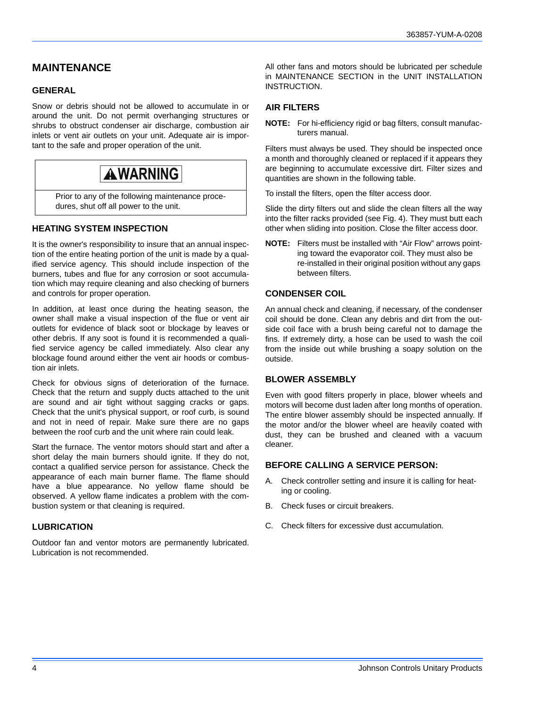## **MAINTENANCE**

#### **GENERAL**

Snow or debris should not be allowed to accumulate in or around the unit. Do not permit overhanging structures or shrubs to obstruct condenser air discharge, combustion air inlets or vent air outlets on your unit. Adequate air is important to the safe and proper operation of the unit.

# **AWARNING**

Prior to any of the following maintenance procedures, shut off all power to the unit.

#### **HEATING SYSTEM INSPECTION**

It is the owner's responsibility to insure that an annual inspection of the entire heating portion of the unit is made by a qualified service agency. This should include inspection of the burners, tubes and flue for any corrosion or soot accumulation which may require cleaning and also checking of burners and controls for proper operation.

In addition, at least once during the heating season, the owner shall make a visual inspection of the flue or vent air outlets for evidence of black soot or blockage by leaves or other debris. If any soot is found it is recommended a qualified service agency be called immediately. Also clear any blockage found around either the vent air hoods or combustion air inlets.

Check for obvious signs of deterioration of the furnace. Check that the return and supply ducts attached to the unit are sound and air tight without sagging cracks or gaps. Check that the unit's physical support, or roof curb, is sound and not in need of repair. Make sure there are no gaps between the roof curb and the unit where rain could leak.

Start the furnace. The ventor motors should start and after a short delay the main burners should ignite. If they do not, contact a qualified service person for assistance. Check the appearance of each main burner flame. The flame should have a blue appearance. No yellow flame should be observed. A yellow flame indicates a problem with the combustion system or that cleaning is required.

#### **LUBRICATION**

Outdoor fan and ventor motors are permanently lubricated. Lubrication is not recommended.

All other fans and motors should be lubricated per schedule in MAINTENANCE SECTION in the UNIT INSTALLATION **INSTRUCTION** 

#### **AIR FILTERS**

**NOTE:** For hi-efficiency rigid or bag filters, consult manufacturers manual.

Filters must always be used. They should be inspected once a month and thoroughly cleaned or replaced if it appears they are beginning to accumulate excessive dirt. Filter sizes and quantities are shown in the following table.

To install the filters, open the filter access door.

Slide the dirty filters out and slide the clean filters all the way into the filter racks provided (see Fig. 4). They must butt each other when sliding into position. Close the filter access door.

**NOTE:** Filters must be installed with "Air Flow" arrows pointing toward the evaporator coil. They must also be re-installed in their original position without any gaps between filters.

#### **CONDENSER COIL**

An annual check and cleaning, if necessary, of the condenser coil should be done. Clean any debris and dirt from the outside coil face with a brush being careful not to damage the fins. If extremely dirty, a hose can be used to wash the coil from the inside out while brushing a soapy solution on the outside.

#### **BLOWER ASSEMBLY**

Even with good filters properly in place, blower wheels and motors will become dust laden after long months of operation. The entire blower assembly should be inspected annually. If the motor and/or the blower wheel are heavily coated with dust, they can be brushed and cleaned with a vacuum cleaner.

#### **BEFORE CALLING A SERVICE PERSON:**

- A. Check controller setting and insure it is calling for heating or cooling.
- B. Check fuses or circuit breakers.
- C. Check filters for excessive dust accumulation.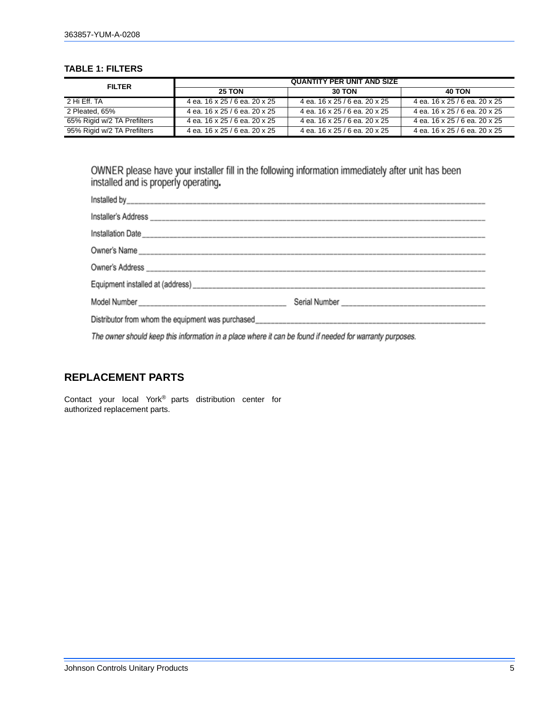#### **TABLE 1: FILTERS**

| <b>FILTER</b>               | <b>QUANTITY PER UNIT AND SIZE</b> |                               |                               |  |
|-----------------------------|-----------------------------------|-------------------------------|-------------------------------|--|
|                             | <b>25 TON</b>                     | <b>30 TON</b>                 | <b>40 TON</b>                 |  |
| 2 Hi Fff. TA                | 4 ea. 16 x 25 / 6 ea. 20 x 25     | 4 ea. 16 x 25 / 6 ea. 20 x 25 | 4 ea. 16 x 25 / 6 ea. 20 x 25 |  |
| 2 Pleated, 65%              | 4 ea. 16 x 25 / 6 ea. 20 x 25     | 4 ea. 16 x 25 / 6 ea. 20 x 25 | 4 ea. 16 x 25 / 6 ea. 20 x 25 |  |
| 65% Rigid w/2 TA Prefilters | 4 ea. 16 x 25 / 6 ea. 20 x 25     | 4 ea. 16 x 25 / 6 ea. 20 x 25 | 4 ea. 16 x 25 / 6 ea. 20 x 25 |  |
| 95% Rigid w/2 TA Prefilters | 4 ea. 16 x 25 / 6 ea. 20 x 25     | 4 ea. 16 x 25 / 6 ea. 20 x 25 | 4 ea. 16 x 25 / 6 ea. 20 x 25 |  |

OWNER please have your installer fill in the following information immediately after unit has been installed and is properly operating.

The owner should keep this information in a place where it can be found if needed for warranty purposes.

### **REPLACEMENT PARTS**

Contact your local York® parts distribution center for authorized replacement parts.